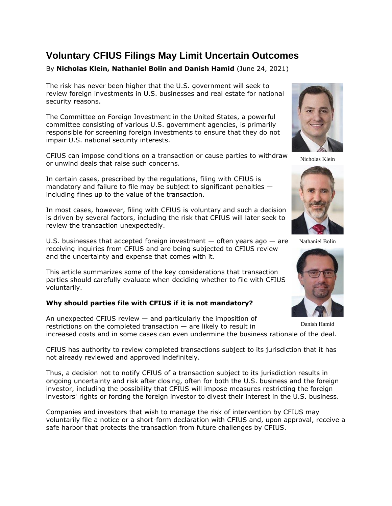# **Voluntary CFIUS Filings May Limit Uncertain Outcomes**

# By **Nicholas Klein, Nathaniel Bolin and Danish Hamid** (June 24, 2021)

The risk has never been higher that the U.S. government will seek to review foreign investments in U.S. businesses and real estate for national security reasons.

The [Committee on Foreign Investment in the United States,](https://www.law360.com/agencies/committee-on-foreign-investment-in-the-united-states) a powerful committee consisting of various U.S. government agencies, is primarily responsible for screening foreign investments to ensure that they do not impair U.S. national security interests.

CFIUS can impose conditions on a transaction or cause parties to withdraw or unwind deals that raise such concerns.

In certain cases, prescribed by the regulations, filing with CFIUS is mandatory and failure to file may be subject to significant penalties including fines up to the value of the transaction.

In most cases, however, filing with CFIUS is voluntary and such a decision is driven by several factors, including the risk that CFIUS will later seek to review the transaction unexpectedly.

U.S. businesses that accepted foreign investment  $-$  often years ago  $-$  are receiving inquiries from CFIUS and are being subjected to CFIUS review and the uncertainty and expense that comes with it.

This article summarizes some of the key considerations that transaction parties should carefully evaluate when deciding whether to file with CFIUS voluntarily.

# **Why should parties file with CFIUS if it is not mandatory?**

An unexpected CFIUS review — and particularly the imposition of restrictions on the completed transaction — are likely to result in increased costs and in some cases can even undermine the business rationale of the deal. Danish Hamid

CFIUS has authority to review completed transactions subject to its jurisdiction that it has not already reviewed and approved indefinitely.

Thus, a decision not to notify CFIUS of a transaction subject to its jurisdiction results in ongoing uncertainty and risk after closing, often for both the U.S. business and the foreign investor, including the possibility that CFIUS will impose measures restricting the foreign investors' rights or forcing the foreign investor to divest their interest in the U.S. business.

Companies and investors that wish to manage the risk of intervention by CFIUS may voluntarily file a notice or a short-form declaration with CFIUS and, upon approval, receive a safe harbor that protects the transaction from future challenges by CFIUS.



Nicholas Klein



Nathaniel Bolin

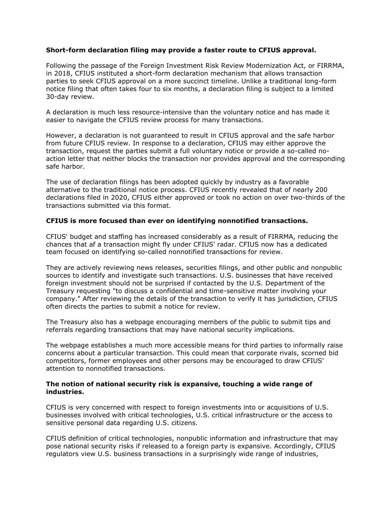# **Short-form declaration filing may provide a faster route to CFIUS approval.**

Following the passage of the Foreign Investment Risk Review Modernization Act, or FIRRMA, in 2018, CFIUS instituted a short-form declaration mechanism that allows transaction parties to seek CFIUS approval on a more succinct timeline. Unlike a traditional long-form notice filing that often takes four to six months, a declaration filing is subject to a limited 30-day review.

A declaration is much less resource-intensive than the voluntary notice and has made it easier to navigate the CFIUS review process for many transactions.

However, a declaration is not guaranteed to result in CFIUS approval and the safe harbor from future CFIUS review. In response to a declaration, CFIUS may either approve the transaction, request the parties submit a full voluntary notice or provide a so-called noaction letter that neither blocks the transaction nor provides approval and the corresponding safe harbor.

The use of declaration filings has been adopted quickly by industry as a favorable alternative to the traditional notice process. CFIUS recently revealed that of nearly 200 declarations filed in 2020, CFIUS either approved or took no action on over two-thirds of the transactions submitted via this format.

#### **CFIUS is more focused than ever on identifying nonnotified transactions.**

CFIUS' budget and staffing has increased considerably as a result of FIRRMA, reducing the chances that af a transaction might fly under CFIUS' radar. CFIUS now has a dedicated team focused on identifying so-called nonnotified transactions for review.

They are actively reviewing news releases, securities filings, and other public and nonpublic sources to identify and investigate such transactions. U.S. businesses that have received foreign investment should not be surprised if contacted by the [U.S. Department of the](https://www.law360.com/agencies/u-s-department-of-the-treasury)  [Treasury](https://www.law360.com/agencies/u-s-department-of-the-treasury) requesting "to discuss a confidential and time-sensitive matter involving your company." After reviewing the details of the transaction to verify it has jurisdiction, CFIUS often directs the parties to submit a notice for review.

The Treasury also has a webpage encouraging members of the public to submit tips and referrals regarding transactions that may have national security implications.

The webpage establishes a much more accessible means for third parties to informally raise concerns about a particular transaction. This could mean that corporate rivals, scorned bid competitors, former employees and other persons may be encouraged to draw CFIUS' attention to nonnotified transactions.

#### **The notion of national security risk is expansive, touching a wide range of industries.**

CFIUS is very concerned with respect to foreign investments into or acquisitions of U.S. businesses involved with critical technologies, U.S. critical infrastructure or the access to sensitive personal data regarding U.S. citizens.

CFIUS definition of critical technologies, nonpublic information and infrastructure that may pose national security risks if released to a foreign party is expansive. Accordingly, CFIUS regulators view U.S. business transactions in a surprisingly wide range of industries,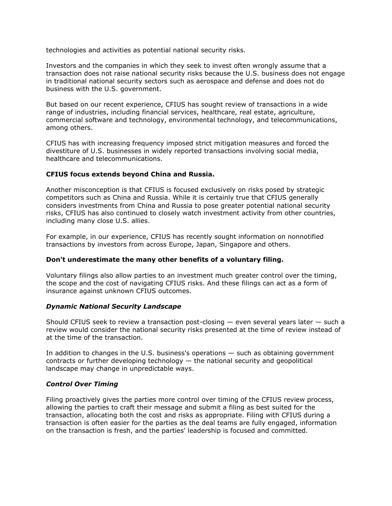technologies and activities as potential national security risks.

Investors and the companies in which they seek to invest often wrongly assume that a transaction does not raise national security risks because the U.S. business does not engage in traditional national security sectors such as aerospace and defense and does not do business with the U.S. government.

But based on our recent experience, CFIUS has sought review of transactions in a wide range of industries, including financial services, healthcare, real estate, agriculture, commercial software and technology, environmental technology, and telecommunications, among others.

CFIUS has with increasing frequency imposed strict mitigation measures and forced the divestiture of U.S. businesses in widely reported transactions involving social media, healthcare and telecommunications.

# **CFIUS focus extends beyond China and Russia.**

Another misconception is that CFIUS is focused exclusively on risks posed by strategic competitors such as China and Russia. While it is certainly true that CFIUS generally considers investments from China and Russia to pose greater potential national security risks, CFIUS has also continued to closely watch investment activity from other countries, including many close U.S. allies.

For example, in our experience, CFIUS has recently sought information on nonnotified transactions by investors from across Europe, Japan, Singapore and others.

# **Don't underestimate the many other benefits of a voluntary filing.**

Voluntary filings also allow parties to an investment much greater control over the timing, the scope and the cost of navigating CFIUS risks. And these filings can act as a form of insurance against unknown CFIUS outcomes.

# *Dynamic National Security Landscape*

Should CFIUS seek to review a transaction post-closing  $-$  even several years later  $-$  such a review would consider the national security risks presented at the time of review instead of at the time of the transaction.

In addition to changes in the U.S. business's operations — such as obtaining government contracts or further developing technology — the national security and geopolitical landscape may change in unpredictable ways.

# *Control Over Timing*

Filing proactively gives the parties more control over timing of the CFIUS review process, allowing the parties to craft their message and submit a filing as best suited for the transaction, allocating both the cost and risks as appropriate. Filing with CFIUS during a transaction is often easier for the parties as the deal teams are fully engaged, information on the transaction is fresh, and the parties' leadership is focused and committed.